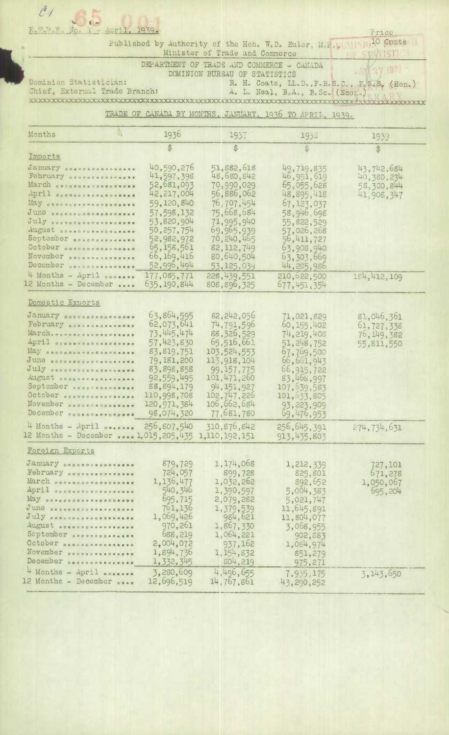| E.T.P. F. No. 1 - April, 1939.                                                                                                                                                                                                                                                                                                                |                                                                                                                                                                              |                                                                                                                                                                                         |                                                                                                                                                                                | Frice                                                                             |  |  |  |  |  |  |  |
|-----------------------------------------------------------------------------------------------------------------------------------------------------------------------------------------------------------------------------------------------------------------------------------------------------------------------------------------------|------------------------------------------------------------------------------------------------------------------------------------------------------------------------------|-----------------------------------------------------------------------------------------------------------------------------------------------------------------------------------------|--------------------------------------------------------------------------------------------------------------------------------------------------------------------------------|-----------------------------------------------------------------------------------|--|--|--|--|--|--|--|
|                                                                                                                                                                                                                                                                                                                                               |                                                                                                                                                                              | Minister of Trade and Commerce                                                                                                                                                          |                                                                                                                                                                                | Published by Authority of the Hon. W.D. Euler, M.P., 10 Compts<br><b>CERTISTI</b> |  |  |  |  |  |  |  |
|                                                                                                                                                                                                                                                                                                                                               |                                                                                                                                                                              | DEPARTMENT OF TRADE AND COMMERCE - CANADA                                                                                                                                               |                                                                                                                                                                                | 14 27 1831                                                                        |  |  |  |  |  |  |  |
| DOMINION BUREAU OF STATISTICS<br>Dominion Statistician:<br>R. H. Coats, LL.D., F.R.S.C., F.S.S. (Hon.)<br>Chief, External Trade Branch:<br>A. L. Neal, B.A., B.Sc. (Econ.)                                                                                                                                                                    |                                                                                                                                                                              |                                                                                                                                                                                         |                                                                                                                                                                                |                                                                                   |  |  |  |  |  |  |  |
| TRADE OF CANADA BY MONTHS, JANUARY, 1936 TO APRIL, 1939.                                                                                                                                                                                                                                                                                      |                                                                                                                                                                              |                                                                                                                                                                                         |                                                                                                                                                                                |                                                                                   |  |  |  |  |  |  |  |
| Months                                                                                                                                                                                                                                                                                                                                        | 1936                                                                                                                                                                         | 1937                                                                                                                                                                                    | 1938                                                                                                                                                                           | 1933                                                                              |  |  |  |  |  |  |  |
| Imports                                                                                                                                                                                                                                                                                                                                       | \$                                                                                                                                                                           | \$                                                                                                                                                                                      | \$                                                                                                                                                                             | $\hat{S}$                                                                         |  |  |  |  |  |  |  |
| January ocenosconoscoses<br>Fehruary occoccoccoccoses<br>March cocooooooooooooooo<br>April occoccoccoccocese<br>May obococo.co.coooooo<br>June occoccoccoccoccoc<br>July cooocccoooccooccooo<br>August ocosooossooossess<br>September<br>October cocoooooooooooooo<br>November osoooooooooooooo<br>December coccoossocosses                   | 40,590,276<br>41,597,398<br>52,681,093<br>42,217,004<br>59,120,840<br>57, 598, 132<br>53,820,904<br>50, 257, 754<br>52,982,972<br>65, 158, 561<br>66, 169, 416<br>52,996,494 | 51,882,618<br>48,680,842<br>70,990,029<br>56,886,062<br>76.707,454<br>75,668,684<br>71,995,940<br>69,965,939<br>70, 240, 465<br>82, 112, 749<br>80, 640, 504<br>53,125,039              | 49,719,835<br>46,951,619<br>65,055,628<br>48,895,418<br>67, 123, 037<br>58,946,698<br>55, 822, 529<br>57,026,268<br>56,411,727<br>63,908,940<br>63,303,669<br>44,285,986       | 43,742,684<br>40, 380, 234<br>58,330,844<br>41,908,347                            |  |  |  |  |  |  |  |
| 4 Months - April occesss<br>12 Months - December                                                                                                                                                                                                                                                                                              | 177,085,771<br>635, 190, 844                                                                                                                                                 | 228, 439, 551<br>808, 896, 325                                                                                                                                                          | 210,622,500<br>677, 451, 354                                                                                                                                                   | 184, 412, 109                                                                     |  |  |  |  |  |  |  |
| Domestic Exports<br>January cocooocceoccoooc<br>February occossossesses<br>March.coopecoocosocosose<br>April occosococococoses<br>May <b>oboooooooooooooooo</b><br>June occcessoscessesses<br>July occooooooooooooooo<br>August ocococcooperococo<br>September coopcoopoor<br>October<br>November occooocoocoocoo<br>December coopooposoopose | 63,864,595<br>62,073,641<br>73, 445, 474<br>57,423,830<br>83,819,751<br>79,181,200<br>83,898,858<br>92,559,495<br>88, 894, 179<br>110,998,708<br>120, 971, 384<br>98,074,320 | 82, 242, 056<br>74,791,596<br>88, 326, 529<br>65,516,661<br>103, 524, 553<br>113,918,104<br>99, 157, 775<br>101, 471, 260<br>94, 151, 927<br>102, 747, 226<br>106,662,684<br>77,681,780 | 71,021,829<br>60, 155, 402<br>74,219,408<br>51, 248, 752<br>67,769,500<br>66,661,943<br>66,915,722<br>83,468,997<br>107, 539, 583<br>101, 533, 805<br>93,223,909<br>69,476,953 | 81,046,361<br>61,727,338<br>76, 149, 382<br>55,811,550                            |  |  |  |  |  |  |  |
| 4 Months - April  256,807,540<br>12 Months - December  1, 015, 205, 435 1, 110, 192, 151                                                                                                                                                                                                                                                      |                                                                                                                                                                              | 310,876,842                                                                                                                                                                             | 256,645,391<br>913, 435, 803                                                                                                                                                   | 274,734,631                                                                       |  |  |  |  |  |  |  |
| Foreign Exports<br>January cocococescosesse<br>February occossossesses<br>March coorococoooooccee<br>April 0000000000000000000<br>May oceacococcescocossos<br>June ocococococococococo<br>July ocecococococoseseses<br>August oceacoccoccoce<br>September<br>October<br>November occoccoccoccocco<br>December osooooosso<br>4 Months - April  | 879,729<br>724,057<br>1, 136, 477<br>540,346<br>695,715<br>761,136<br>1,069,426<br>970,261<br>688,219<br>2,004,072<br>1,894,736<br>1, 332, 345<br>3,280,609                  | 1, 174, 068<br>899,728<br>1,032,262<br>1,390,597<br>2,079,282<br>1,379,539<br>984,621<br>1,867,330<br>1,064,221<br>937,162<br>1, 154, 832<br>804,219<br>4,496,655                       | 1,212,339<br>825,801<br>892,652<br>5,004,383<br>5,021,747<br>11,645,891<br>11,804,077<br>3,068,955<br>902,883<br>1,084,974<br>851,279<br>975,271<br>7,955,175                  | 727,101<br>671,278<br>1,050,067<br>695,204<br>3, 143, 650                         |  |  |  |  |  |  |  |
| 12 Months - December                                                                                                                                                                                                                                                                                                                          | 12.696.519                                                                                                                                                                   | 14.767.861                                                                                                                                                                              | 43.290.252                                                                                                                                                                     |                                                                                   |  |  |  |  |  |  |  |

 $\mathcal{C}$ 

 $\overline{\phantom{a}}$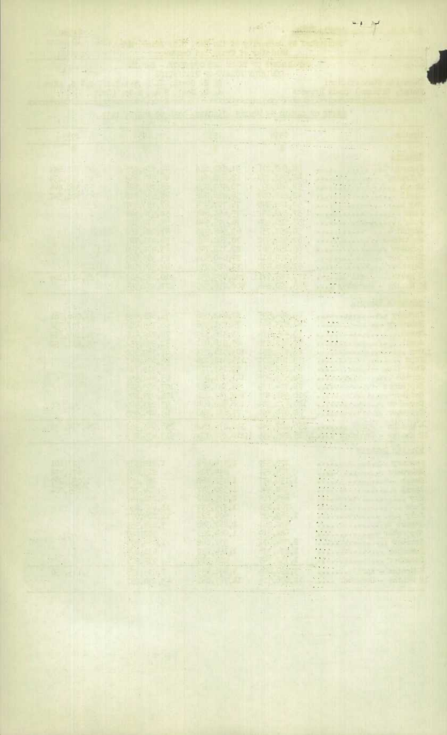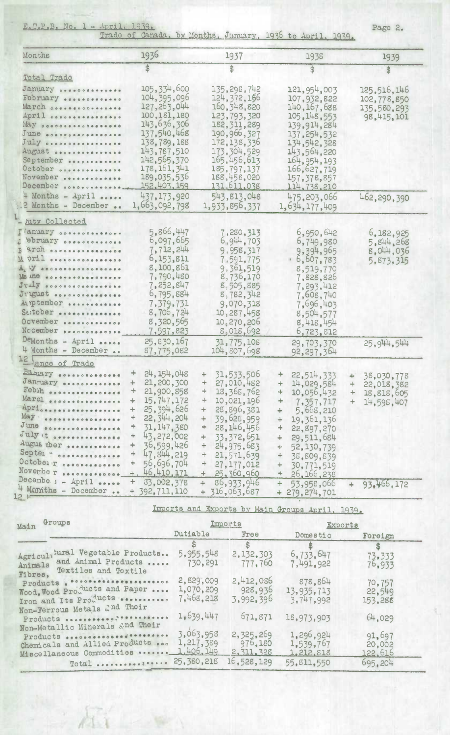| $E_0$ $T_4$ $P_2$ $B_3$ . No. 1 -<br>1.10111939.<br>Pago 2.<br>Trado of Canada, by Months, January, 1936 to April, 1939. |                              |                            |                                |                                                                |  |  |  |  |
|--------------------------------------------------------------------------------------------------------------------------|------------------------------|----------------------------|--------------------------------|----------------------------------------------------------------|--|--|--|--|
| Months                                                                                                                   | 1936                         | 1937                       | 1938                           | 1939                                                           |  |  |  |  |
|                                                                                                                          | \$                           | \$                         | \$                             | \$                                                             |  |  |  |  |
| Total Trade                                                                                                              |                              |                            |                                |                                                                |  |  |  |  |
| January <b>overconserves</b>                                                                                             | 105, 334, 600                | 135, 298, 742              | 121, 954, 003                  | 125,516,146                                                    |  |  |  |  |
| February                                                                                                                 | 104, 395, 096                | 124, 372, 166              | 107,932,822                    | 102,778,850                                                    |  |  |  |  |
| March assessociations                                                                                                    | 127, 263, 044                | 160, 348, 820              | 140, 167, 688                  | 135,580,293                                                    |  |  |  |  |
| April ossossessessesses                                                                                                  | 100, 181, 180                | 123, 793, 320              | 105, 148, 553                  | 98,415,101                                                     |  |  |  |  |
| May occocessodessesse                                                                                                    | 143,636,306                  | 182, 311, 289              | 139,914,284                    |                                                                |  |  |  |  |
| June acabecessessesses                                                                                                   | 137,540,468                  | 190,966,327                | 137, 254, 532                  |                                                                |  |  |  |  |
| July orsosossassessess                                                                                                   | 138,789,188                  | 172, 138, 336              | 134,542,328                    |                                                                |  |  |  |  |
| August                                                                                                                   | 143,787,510                  | 173,304,529                | 143,564,220                    |                                                                |  |  |  |  |
| September<br>October                                                                                                     | 142,565,370<br>178, 161, 341 | 165,456,613                | 164, 954, 193                  |                                                                |  |  |  |  |
| November                                                                                                                 | 189,035,536                  | 185,797,137<br>188,458,020 | 166, 627, 719<br>157, 378, 857 |                                                                |  |  |  |  |
| December                                                                                                                 | 152,403,159                  | 131,611,038                | 114,738,210                    |                                                                |  |  |  |  |
| 4 Months - April                                                                                                         | 437, 173, 920                | 543,813,048                | 475.203.066                    |                                                                |  |  |  |  |
| 2 Months - December                                                                                                      | 1,663,092,798                | 1,933,856,337              | 1, 634, 177, 409               | 462,290,390                                                    |  |  |  |  |
|                                                                                                                          |                              |                            |                                |                                                                |  |  |  |  |
| hity Collected                                                                                                           |                              |                            |                                |                                                                |  |  |  |  |
| fanuary occasionalses.                                                                                                   | 5,866,447                    | 7,280,313                  | 6,950,642                      | 6,182,925                                                      |  |  |  |  |
| 'ebruary ossessessesses                                                                                                  | 6,097,665                    | 6,944,703                  | 6,749,980                      | 5,844,268                                                      |  |  |  |  |
| arch economications                                                                                                      | 7,712,244                    | 9,958,317                  | 9,394,965                      | 8,044,036                                                      |  |  |  |  |
| pril secretareserses<br>A. W                                                                                             | 6,153,811<br>8,100,861       | 7,591,775<br>9, 361, 519   | 6,607,783                      | 5,873,315                                                      |  |  |  |  |
| MS ANG                                                                                                                   | 7,790,480                    | 8,736,170                  | 8,519,770<br>7,828,826         |                                                                |  |  |  |  |
| $J\ddot{\psi}$ $\lambda J$                                                                                               | 7,252,847                    | 8.505,885                  | 7,293,412                      |                                                                |  |  |  |  |
| JIZUSt                                                                                                                   | 6,795,884                    | 8,782,342                  | 7,608,740                      |                                                                |  |  |  |  |
| Auptember                                                                                                                | 7,379,731                    | 9,070,318                  | 7,696,403                      |                                                                |  |  |  |  |
| Seitober                                                                                                                 | 8,706,724                    | 10, 287, 458               | 8,504,577                      |                                                                |  |  |  |  |
| Ocvember                                                                                                                 | 8,320,565                    | 10, 270, 206               | 8,418,454                      |                                                                |  |  |  |  |
| Nocember                                                                                                                 | 7,597,823                    | 8,018,692                  | 6,723,812                      |                                                                |  |  |  |  |
| DeMonths - April                                                                                                         | 25,830,167                   | 31,775,108                 | 29,703,370                     | 25,944,544                                                     |  |  |  |  |
| 4 Months - December                                                                                                      | 87,775,082                   | 104, 807, 698              | 92, 297, 364                   |                                                                |  |  |  |  |
| 12 J<br>lance of Trade                                                                                                   |                              |                            |                                |                                                                |  |  |  |  |
| Banary                                                                                                                   | 24, 154, 048                 | 31,533,506<br>$^{+}$       | 22,514,333<br>÷                |                                                                |  |  |  |  |
| Janmary                                                                                                                  | 21, 200, 300<br>$^{+}$       | 27,010,482<br>÷            | 14,029,584<br>$\ddot{}$        | 38,030,778<br>$+$<br>$+$                                       |  |  |  |  |
| Febih                                                                                                                    | ÷<br>21,900,858              | 18, 368, 762<br>$\div$     | 10,056,432<br>÷                | 22,018,382<br>$\begin{array}{c} + \end{array}$<br>18, 818, 605 |  |  |  |  |
|                                                                                                                          | 15, 747, 172<br>$\div$       | $\div$<br>10,021,196       | $\ddot{}$<br>7,357,717         | 14,598,407<br>$\hspace{0.1mm} +\hspace{0.1mm}$                 |  |  |  |  |
| Apris                                                                                                                    | 25, 394, 626<br>$+$          | 28,896,381<br>$+$          | 5,668,210<br>$\ddot{}$         |                                                                |  |  |  |  |
| May<br>                                                                                                                  | 22, 344, 204<br>$\ddot{}$    | 39,628,959<br>$+$          | 19, 361, 136<br>$\div$         |                                                                |  |  |  |  |
| June<br>                                                                                                                 | $\ddot{}$<br>31, 147, 380    | ÷<br>28, 146, 456          | ÷<br>22,897,270                |                                                                |  |  |  |  |
| July it or                                                                                                               | $\,{}^+$<br>43,272,002       | 33, 372, 651<br>$\ddot{}$  | 29,511,684<br>$\div$           |                                                                |  |  |  |  |
| Augus nber                                                                                                               | 36,599,426<br>$^{+}$         | 24,975,683<br>$\div$       | 52, 130, 739<br>÷              |                                                                |  |  |  |  |
| Septer : oceanossosesse                                                                                                  | $\div$<br>47, 844, 219       | $\div$<br>21, 571, 639     | $\div$<br>38,809,839           |                                                                |  |  |  |  |
| October r ossossssossso                                                                                                  | 56,696,704<br>÷              | $\div$<br>27, 177, 012     | 30,771,519<br>÷                |                                                                |  |  |  |  |
| November                                                                                                                 | 46, 410, 171<br>$+$ .        | 25, 360, 960<br>$\! +$     | $\div$<br>26, 166, 238         |                                                                |  |  |  |  |
| Decembe $s -$ April $\bullet \bullet \bullet \bullet \bullet$                                                            | 33,002,378<br>$^+$           | 86, 933, 946<br>$\ddot{+}$ | 53,958,066<br>$\div$           | 93.466.172<br>$+$                                              |  |  |  |  |
| 4 Mariths - December                                                                                                     | $+392,711,110$               | $+316,063,687$             | $+279, 274, 701$               |                                                                |  |  |  |  |

Imports and Exports by Main Groups April, 1939.

| Groups<br>Main                                                                                                                  |                                     | Imports                             | Exports                             |                             |  |
|---------------------------------------------------------------------------------------------------------------------------------|-------------------------------------|-------------------------------------|-------------------------------------|-----------------------------|--|
|                                                                                                                                 | Dutiable                            | Free                                | Domestic                            | Foreign                     |  |
| Agricultural Vegetable Products<br>and Animal Products<br>Animals<br>Textiles and Textile<br>Fibres,                            | 5,955,548<br>730,291                | -\$<br>2,132,303<br>777,760         | 6,733,647<br>7,491,922              | 3<br>73.333<br>76,933       |  |
| Products . **************************<br>Wood, Wood Products and Paper<br>Iron and Its Products<br>Non-Ferrous Metals and Their | 2,829,009<br>1,070,209<br>7,468,218 | 2,412,086<br>928,936<br>3,992,396   | 878,864<br>13,935,713<br>3,747,992  | 70,757<br>22,549<br>153,288 |  |
| Products<br>Non-Metallic Minerals and Their                                                                                     | 1,639,447                           | 671,871                             | 18,973,903                          | 64,029                      |  |
| Products<br>Chemicals and Allied Products<br>Miscellaneous Commodities                                                          | 3,063,958<br>1,217,389<br>1,406,149 | 2,325,269<br>976,180<br>2, 311, 328 | 1,296,924<br>1,539,767<br>1,212,818 | 91,697<br>20,002<br>122,616 |  |
| Total                                                                                                                           | 25,380,218                          | 16,528,129                          | 55,811,550                          | 695,204                     |  |